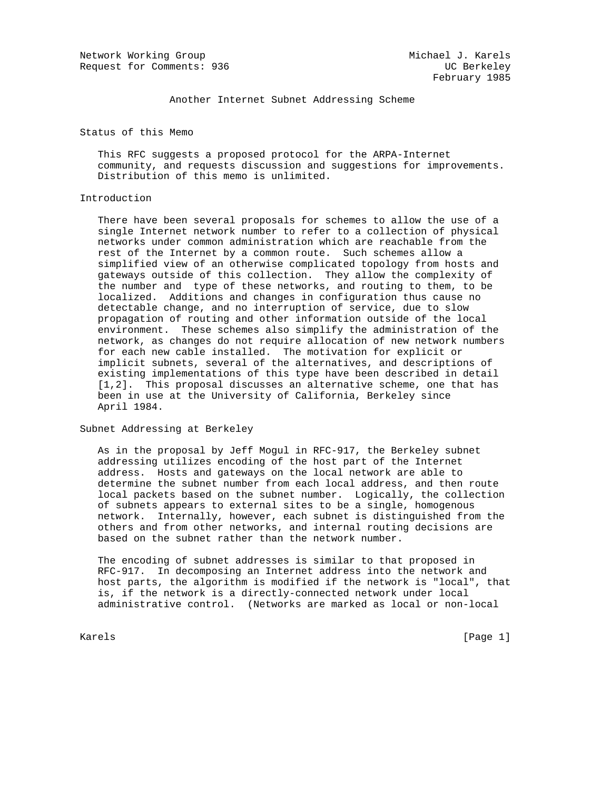Network Working Group and Michael J. Karels Request for Comments: 936 UC Berkeley

Another Internet Subnet Addressing Scheme

Status of this Memo

 This RFC suggests a proposed protocol for the ARPA-Internet community, and requests discussion and suggestions for improvements. Distribution of this memo is unlimited.

## Introduction

 There have been several proposals for schemes to allow the use of a single Internet network number to refer to a collection of physical networks under common administration which are reachable from the rest of the Internet by a common route. Such schemes allow a simplified view of an otherwise complicated topology from hosts and gateways outside of this collection. They allow the complexity of the number and type of these networks, and routing to them, to be localized. Additions and changes in configuration thus cause no detectable change, and no interruption of service, due to slow propagation of routing and other information outside of the local environment. These schemes also simplify the administration of the network, as changes do not require allocation of new network numbers for each new cable installed. The motivation for explicit or implicit subnets, several of the alternatives, and descriptions of existing implementations of this type have been described in detail [1,2]. This proposal discusses an alternative scheme, one that has been in use at the University of California, Berkeley since April 1984.

Subnet Addressing at Berkeley

 As in the proposal by Jeff Mogul in RFC-917, the Berkeley subnet addressing utilizes encoding of the host part of the Internet address. Hosts and gateways on the local network are able to determine the subnet number from each local address, and then route local packets based on the subnet number. Logically, the collection of subnets appears to external sites to be a single, homogenous network. Internally, however, each subnet is distinguished from the others and from other networks, and internal routing decisions are based on the subnet rather than the network number.

 The encoding of subnet addresses is similar to that proposed in RFC-917. In decomposing an Internet address into the network and host parts, the algorithm is modified if the network is "local", that is, if the network is a directly-connected network under local administrative control. (Networks are marked as local or non-local

Karels [Page 1] [Page 1] [Page 1] [Page 1] [Page 1] [Page 1] [Page 1] [Page 1] [Page 1]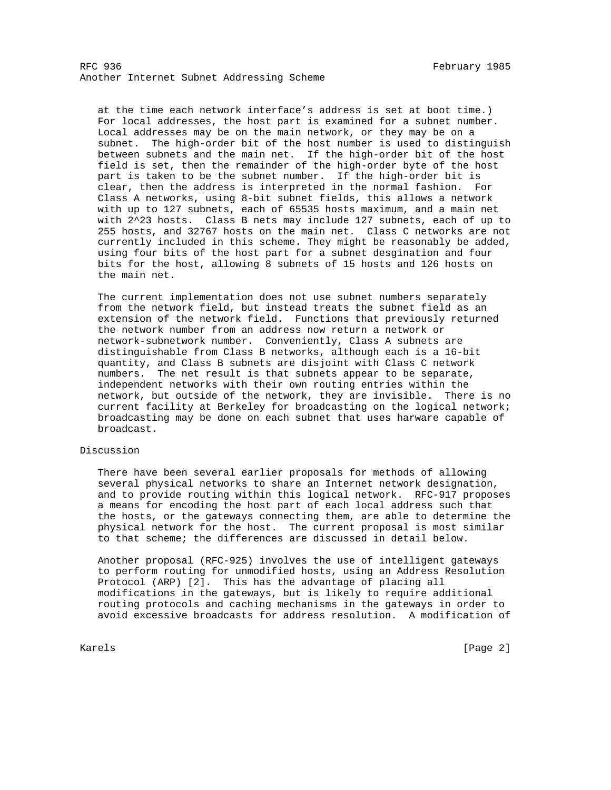RFC 936 February 1985 Another Internet Subnet Addressing Scheme

 at the time each network interface's address is set at boot time.) For local addresses, the host part is examined for a subnet number. Local addresses may be on the main network, or they may be on a subnet. The high-order bit of the host number is used to distinguish between subnets and the main net. If the high-order bit of the host field is set, then the remainder of the high-order byte of the host part is taken to be the subnet number. If the high-order bit is clear, then the address is interpreted in the normal fashion. For Class A networks, using 8-bit subnet fields, this allows a network with up to 127 subnets, each of 65535 hosts maximum, and a main net with 2^23 hosts. Class B nets may include 127 subnets, each of up to 255 hosts, and 32767 hosts on the main net. Class C networks are not currently included in this scheme. They might be reasonably be added, using four bits of the host part for a subnet desgination and four bits for the host, allowing 8 subnets of 15 hosts and 126 hosts on the main net.

 The current implementation does not use subnet numbers separately from the network field, but instead treats the subnet field as an extension of the network field. Functions that previously returned the network number from an address now return a network or network-subnetwork number. Conveniently, Class A subnets are distinguishable from Class B networks, although each is a 16-bit quantity, and Class B subnets are disjoint with Class C network numbers. The net result is that subnets appear to be separate, independent networks with their own routing entries within the network, but outside of the network, they are invisible. There is no current facility at Berkeley for broadcasting on the logical network; broadcasting may be done on each subnet that uses harware capable of broadcast.

## Discussion

 There have been several earlier proposals for methods of allowing several physical networks to share an Internet network designation, and to provide routing within this logical network. RFC-917 proposes a means for encoding the host part of each local address such that the hosts, or the gateways connecting them, are able to determine the physical network for the host. The current proposal is most similar to that scheme; the differences are discussed in detail below.

 Another proposal (RFC-925) involves the use of intelligent gateways to perform routing for unmodified hosts, using an Address Resolution Protocol (ARP) [2]. This has the advantage of placing all modifications in the gateways, but is likely to require additional routing protocols and caching mechanisms in the gateways in order to avoid excessive broadcasts for address resolution. A modification of

Karels [Page 2]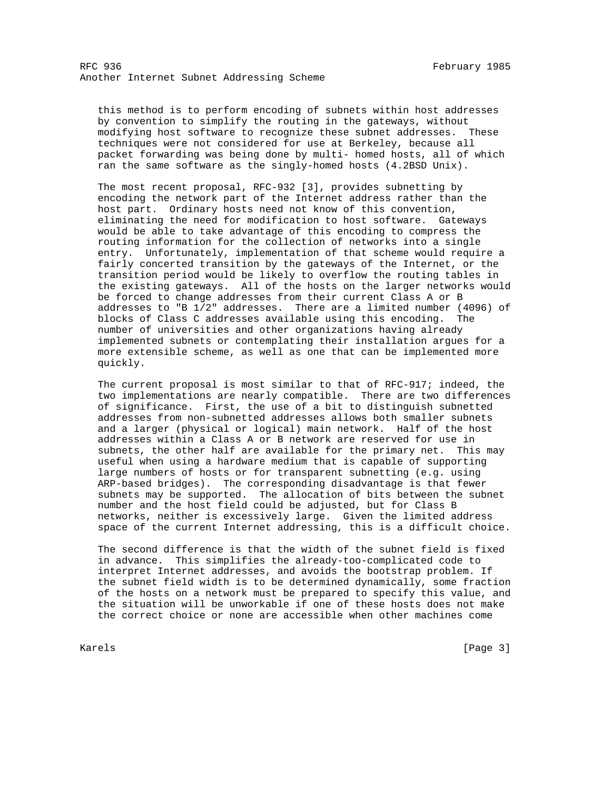this method is to perform encoding of subnets within host addresses by convention to simplify the routing in the gateways, without modifying host software to recognize these subnet addresses. These techniques were not considered for use at Berkeley, because all packet forwarding was being done by multi- homed hosts, all of which ran the same software as the singly-homed hosts (4.2BSD Unix).

 The most recent proposal, RFC-932 [3], provides subnetting by encoding the network part of the Internet address rather than the host part. Ordinary hosts need not know of this convention, eliminating the need for modification to host software. Gateways would be able to take advantage of this encoding to compress the routing information for the collection of networks into a single entry. Unfortunately, implementation of that scheme would require a fairly concerted transition by the gateways of the Internet, or the transition period would be likely to overflow the routing tables in the existing gateways. All of the hosts on the larger networks would be forced to change addresses from their current Class A or B addresses to "B 1/2" addresses. There are a limited number (4096) of blocks of Class C addresses available using this encoding. The number of universities and other organizations having already implemented subnets or contemplating their installation argues for a more extensible scheme, as well as one that can be implemented more quickly.

 The current proposal is most similar to that of RFC-917; indeed, the two implementations are nearly compatible. There are two differences of significance. First, the use of a bit to distinguish subnetted addresses from non-subnetted addresses allows both smaller subnets and a larger (physical or logical) main network. Half of the host addresses within a Class A or B network are reserved for use in subnets, the other half are available for the primary net. This may useful when using a hardware medium that is capable of supporting large numbers of hosts or for transparent subnetting (e.g. using ARP-based bridges). The corresponding disadvantage is that fewer subnets may be supported. The allocation of bits between the subnet number and the host field could be adjusted, but for Class B networks, neither is excessively large. Given the limited address space of the current Internet addressing, this is a difficult choice.

 The second difference is that the width of the subnet field is fixed in advance. This simplifies the already-too-complicated code to interpret Internet addresses, and avoids the bootstrap problem. If the subnet field width is to be determined dynamically, some fraction of the hosts on a network must be prepared to specify this value, and the situation will be unworkable if one of these hosts does not make the correct choice or none are accessible when other machines come

Karels [Page 3] [Page 3] [Page 3] [Page 3] [Page 3] [Page 3] [Page 3] [Page 3] [Page 3] [Page 3] [Page 3] [Page 3] [Page 3] [Page 3] [Page 3] [Page 3] [Page 3] [Page 3] [Page 3] [Page 3] [Page 3] [Page 3] [Page 3] [Page 3]